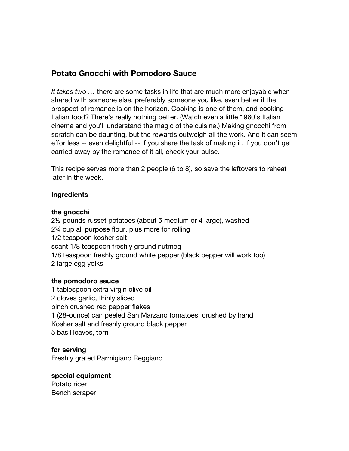# **Potato Gnocchi with Pomodoro Sauce**

*It takes two …* there are some tasks in life that are much more enjoyable when shared with someone else, preferably someone you like, even better if the prospect of romance is on the horizon. Cooking is one of them, and cooking Italian food? There's really nothing better. (Watch even a little 1960's Italian cinema and you'll understand the magic of the cuisine.) Making gnocchi from scratch can be daunting, but the rewards outweigh all the work. And it can seem effortless -- even delightful -- if you share the task of making it. If you don't get carried away by the romance of it all, check your pulse.

This recipe serves more than 2 people (6 to 8), so save the leftovers to reheat later in the week.

#### **Ingredients**

#### **the gnocchi**

2½ pounds russet potatoes (about 5 medium or 4 large), washed 2¾ cup all purpose flour, plus more for rolling 1/2 teaspoon kosher salt scant 1/8 teaspoon freshly ground nutmeg 1/8 teaspoon freshly ground white pepper (black pepper will work too) 2 large egg yolks

#### **the pomodoro sauce**

1 tablespoon extra virgin olive oil 2 cloves garlic, thinly sliced pinch crushed red pepper flakes 1 (28-ounce) can peeled San Marzano tomatoes, crushed by hand Kosher salt and freshly ground black pepper 5 basil leaves, torn

### **for serving**

Freshly grated Parmigiano Reggiano

### **special equipment**

Potato ricer Bench scraper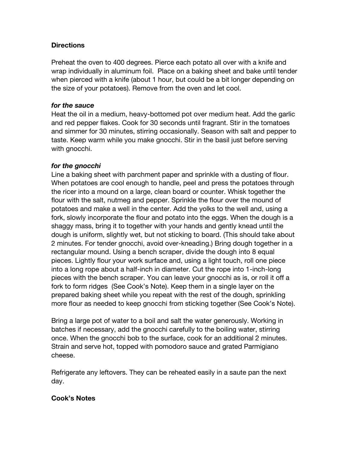## **Directions**

Preheat the oven to 400 degrees. Pierce each potato all over with a knife and wrap individually in aluminum foil. Place on a baking sheet and bake until tender when pierced with a knife (about 1 hour, but could be a bit longer depending on the size of your potatoes). Remove from the oven and let cool.

#### *for the sauce*

Heat the oil in a medium, heavy-bottomed pot over medium heat. Add the garlic and red pepper flakes. Cook for 30 seconds until fragrant. Stir in the tomatoes and simmer for 30 minutes, stirring occasionally. Season with salt and pepper to taste. Keep warm while you make gnocchi. Stir in the basil just before serving with gnocchi.

### *for the gnocchi*

Line a baking sheet with parchment paper and sprinkle with a dusting of flour. When potatoes are cool enough to handle, peel and press the potatoes through the ricer into a mound on a large, clean board or counter. Whisk together the flour with the salt, nutmeg and pepper. Sprinkle the flour over the mound of potatoes and make a well in the center. Add the yolks to the well and, using a fork, slowly incorporate the flour and potato into the eggs. When the dough is a shaggy mass, bring it to together with your hands and gently knead until the dough is uniform, slightly wet, but not sticking to board. (This should take about 2 minutes. For tender gnocchi, avoid over-kneading.) Bring dough together in a rectangular mound. Using a bench scraper, divide the dough into 8 equal pieces. Lightly flour your work surface and, using a light touch, roll one piece into a long rope about a half-inch in diameter. Cut the rope into 1-inch-long pieces with the bench scraper. You can leave your gnocchi as is, or roll it off a fork to form ridges (See Cook's Note). Keep them in a single layer on the prepared baking sheet while you repeat with the rest of the dough, sprinkling more flour as needed to keep gnocchi from sticking together (See Cook's Note).

Bring a large pot of water to a boil and salt the water generously. Working in batches if necessary, add the gnocchi carefully to the boiling water, stirring once. When the gnocchi bob to the surface, cook for an additional 2 minutes. Strain and serve hot, topped with pomodoro sauce and grated Parmigiano cheese.

Refrigerate any leftovers. They can be reheated easily in a saute pan the next day.

### **Cook's Notes**